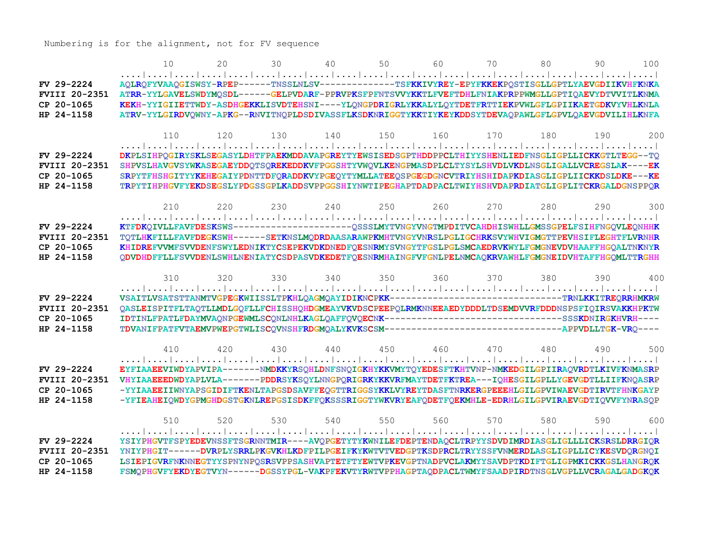Numbering is for the alignment, not for FV sequence

|                                    | 10                                                                                                                                                                                                      | 20  | 30  | 40  | 50              | 60  | 70  | 80  | 90  | 100 |
|------------------------------------|---------------------------------------------------------------------------------------------------------------------------------------------------------------------------------------------------------|-----|-----|-----|-----------------|-----|-----|-----|-----|-----|
|                                    |                                                                                                                                                                                                         |     |     |     |                 |     |     |     |     |     |
| FV 29-2224                         | AQLRQFYVAAQGISWSY-RPEP------TNSSLNLSV-------------TSFKKIVYREY-EPYFKKEKPQSTISGLLGPTLYAEVGDIIKVHFKNKA                                                                                                     |     |     |     |                 |     |     |     |     |     |
| <b>FVIII 20-2351</b>               | ATRR-YYLGAVELSWDYMQSDL------GELPVDARF-PPRVPKSFPFNTSVVYKKTLFVEFTDHLFNIAKPRPPWMGLLGPTIQAEVYDTVVITLKNMA                                                                                                    |     |     |     |                 |     |     |     |     |     |
| CP 20-1065                         | KEKH-YYIGIIETTWDY-ASDHGEKKLISVDTEHSNI----YLQNGPDRIGRLYKKALYLQYTDETFRTTIEKPVWLGFLGPIIKAETGDKVYVHLKNLA                                                                                                    |     |     |     |                 |     |     |     |     |     |
| HP 24-1158                         | ATRV-YYLGIRDVQWNY-APKG--RNVITNQPLDSDIVASSFLKSDKNRIGGTYKKTIYKEYKDDSYTDEVAQPAWLGFLGPVLQAEVGDVILIHLKNFA                                                                                                    |     |     |     |                 |     |     |     |     |     |
|                                    | 110                                                                                                                                                                                                     | 120 | 130 | 140 | 150             | 160 | 170 | 180 | 190 | 200 |
|                                    |                                                                                                                                                                                                         |     |     |     |                 |     |     |     |     |     |
| FV 29-2224                         | DKPLSIHPQGIRYSKLSEGASYLDHTFPAEKMDDAVAPGREYTYEWSISEDSGPTHDDPPCLTHIYYSHENLIEDFNSGLIGPLLICKKGTLTEGG--TQ                                                                                                    |     |     |     |                 |     |     |     |     |     |
| FVIII 20-2351                      | SHPVSLHAVGVSYWKASEGAEYDDQTSQREKEDDKVFPGGSHTYVWQVLKENGPMASDPLCLTYSYLSHVDLVKDLNSGLIGALLVCREGSLAK----EK                                                                                                    |     |     |     |                 |     |     |     |     |     |
| CP 20-1065                         | SRPYTFHSHGITYYKEHEGAIYPDNTTDFQRADDKVYPGEQYTYMLLATEEQSPGEGDGNCVTRIYHSHIDAPKDIASGLIGPLIICKKDSLDKE---KE                                                                                                    |     |     |     |                 |     |     |     |     |     |
| HP 24-1158                         | TRPYTIHPHGVFYEKDSEGSLYPDGSSGPLKADDSVPPGGSHIYNWTIPEGHAPTDADPACLTWIYHSHVDAPRDIATGLIGPLITCKRGALDGNSPPOR                                                                                                    |     |     |     |                 |     |     |     |     |     |
|                                    |                                                                                                                                                                                                         |     |     |     |                 |     |     |     |     |     |
|                                    | 210                                                                                                                                                                                                     | 220 | 230 | 240 | 250             | 260 | 270 | 280 | 290 | 300 |
| FV 29-2224                         | KTFDKQIVLLFAVFDESKSWS---------------------QSSSLMYTVNGYVNGTMPDITVCAHDHISWHLLGMSSGPELFSIHFNGQVLEQNHHK                                                                                                     |     |     |     |                 |     |     |     |     |     |
| <b>FVIII 20-2351</b>               | TQTLHKFILLFAVFDEGKSWH------SETKNSLMQDRDAASARAWPKMHTVNGYVNRSLPGLIGCHRKSVYWHVIGMGTTPEVHSIFLEGHTFLVRNHR                                                                                                    |     |     |     |                 |     |     |     |     |     |
| CP 20-1065                         | KHIDREFVVMFSVVDENFSWYLEDNIKTYCSEPEKVDKDNEDFQESNRMYSVNGYTFGSLPGLSMCAEDRVKWYLFGMGNEVDVHAAFFHGQALTNKNYR                                                                                                    |     |     |     |                 |     |     |     |     |     |
| HP 24-1158                         | QDVDHDFFLLFSVVDENLSWHLNENIATYCSDPASVDKEDETFQESNRMHAINGFVFGNLPELNMCAQKRVAWHLFGMGNEIDVHTAFFHGQMLTTRGHH                                                                                                    |     |     |     |                 |     |     |     |     |     |
|                                    |                                                                                                                                                                                                         |     |     |     |                 |     |     |     |     |     |
|                                    | 310                                                                                                                                                                                                     | 320 | 330 | 340 | 350             | 360 | 370 | 380 | 390 | 400 |
|                                    |                                                                                                                                                                                                         |     |     |     |                 |     |     |     |     |     |
| FV 29-2224                         | VSAITLVSATSTTANMTVGPEGKWIISSLTPKHLQAGMQAYIDIKNCPKK----------------------------TRNLKKITREQRRHMKRW                                                                                                        |     |     |     |                 |     |     |     |     |     |
| <b>FVIII 20-2351</b><br>CP 20-1065 | QASLEISPITFLTAQTLLMDLGQFLLFCHISSHQHDGMEAYVKVDSCPEEPQLRMKNNEEAEDYDDDLTDSEMDVVRFDDDNSPSFIQIRSVAKKHPKTW<br>IDTINLFPATLFDAYMVAQNPGEWMLSCQNLNHLKAGLQAFFQVQECNK----------------------------SSSKDNIRGKHVRH---- |     |     |     |                 |     |     |     |     |     |
| HP 24-1158                         |                                                                                                                                                                                                         |     |     |     |                 |     |     |     |     |     |
|                                    |                                                                                                                                                                                                         |     |     |     |                 |     |     |     |     |     |
|                                    | 410                                                                                                                                                                                                     | 420 | 430 | 440 | 450             | 460 | 470 | 480 | 490 | 500 |
|                                    |                                                                                                                                                                                                         |     |     |     |                 |     |     |     |     |     |
| FV 29-2224                         | EYFIAAEEVIWDYAPVIPA-------NMDKKYRSQHLDNFSNQIGKHYKKVMYTQYEDESFTKHTVNP-NMKEDGILGPIIRAQVRDTLKIVFKNMASRP                                                                                                    |     |     |     |                 |     |     |     |     |     |
| <b>FVIII 20-2351</b>               | VHYIAAEEEDWDYAPLVLA-------PDDRSYKSQYLNNGPQRIGRKYKKVRFMAYTDETFKTREA---IQHESGILGPLLYGEVGDTLLIIFKNQASRP                                                                                                    |     |     |     |                 |     |     |     |     |     |
| CP 20-1065                         | -YYIAAEEIIWNYAPSGIDIFTKENLTAPGSDSAVFFEQGTTRIGGSYKKLVYREYTDASFTNRKERGPEEEHLGILGPVIWAEVGDTIRVTFHNKGAYP                                                                                                    |     |     |     |                 |     |     |     |     |     |
| HP 24-1158                         | -YFIEAHEIQWDYGPMGHDGSTGKNLREPGSISDKFFQKSSSRIGGTYWKVRYEAFQDETFQEKMHLE-EDRHLGILGPVIRAEVGDTIQVVFYNRASQP                                                                                                    |     |     |     |                 |     |     |     |     |     |
|                                    | 510                                                                                                                                                                                                     | 520 | 530 |     | 540 550 560 570 |     |     | 580 | 590 | 600 |
|                                    |                                                                                                                                                                                                         |     |     |     |                 |     |     |     |     |     |
| FV 29-2224                         | YSIYPHGVTFSPYEDEVNSSFTSGRNNTMIR----AVQPGETYTYKWNILEFDEPTENDAQCLTRPYYSDVDIMRDIASGLIGLLLICKSRSLDRRGIQR                                                                                                    |     |     |     |                 |     |     |     |     |     |
| <b>FVIII 20-2351</b>               | YNIYPHGIT------DVRPLYSRRLPKGVKHLKDFPILPGEIFKYKWTVTVEDGPTKSDPRCLTRYYSSFVNMERDLASGLIGPLLICYKESVDORGNOI                                                                                                    |     |     |     |                 |     |     |     |     |     |
| CP 20-1065                         | LSIEPIGVRFNKNNEGTYYSPNYNPOSRSVPPSASHVAPTETFTYEWTVPKEVGPTNADPVCLAKMYYSAVDPTKDIFTGLIGPMKICKKGSLHANGROK                                                                                                    |     |     |     |                 |     |     |     |     |     |
| HP 24-1158                         | FSMOPHGVFYEKDYEGTVYN------DGSSYPGL-VAKPFEKVTYRWTVPPHAGPTAODPACLTWMYFSAADPIRDTNSGLVGPLLVCRAGALGADGKOK                                                                                                    |     |     |     |                 |     |     |     |     |     |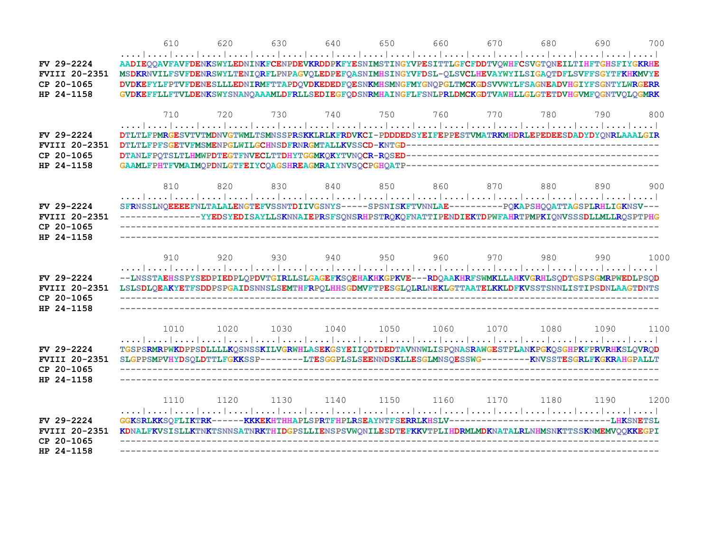|                                                                  | 610                                                                                                                                                                                                                                                                                                                                                                                                                          | 620  | 630  | 640  | 650  | 660  | 670                                      | 680 | 690  | 700  |
|------------------------------------------------------------------|------------------------------------------------------------------------------------------------------------------------------------------------------------------------------------------------------------------------------------------------------------------------------------------------------------------------------------------------------------------------------------------------------------------------------|------|------|------|------|------|------------------------------------------|-----|------|------|
|                                                                  |                                                                                                                                                                                                                                                                                                                                                                                                                              |      |      |      |      |      |                                          |     |      |      |
| $FV$ 29-2224<br><b>FVIII 20-2351</b><br>CP 20-1065<br>HP 24-1158 | AADIEQQAVFAVFDENKSWYLEDNINKFCENPDEVKRDDPKFYESNIMSTINGYVPESITTLGFCFDDTVQWHFCSVGTQNEILTIHFTGHSFIYGKRHE<br>MSDKRNVILFSVFDENRSWYLTENIQRFLPNPAGVQLEDPEFQASNIMHSINGYVFDSL-QLSVCLHEVAYWYILSIGAQTDFLSVFFSGYTFKHKMVYE<br>DVDKEFYLFPTVFDENESLLLEDNIRMFTTAPDQVDKEDEDFQESNKMHSMNGFMYGNQPGLTMCKGDSVVWYLFSAGNEADVHGIYFSGNTYLWRGERR<br>GVDKEFFLLFTVLDENKSWYSNANQAAAMLDFRLLSEDIEGFQDSNRMHAINGFLFSNLPRLDMCKGDTVAWHLLGLGTETDVHGVMFQGNTVQLQGMRK |      |      |      |      |      |                                          |     |      |      |
| FV 29-2224<br><b>FVIII 20-2351</b><br>CP 20-1065<br>HP 24-1158   | 710<br>DTLTLFPMRGESVTVTMDNVGTWMLTSMNSSPRSKKLRLKFRDVKCI-PDDDEDSYEIFEPPESTVMATRKMHDRLEPEDEESDADYDYQNRLAAALGIR                                                                                                                                                                                                                                                                                                                  | 720  | 730  | 740  | 750  | 760  | 770                                      | 780 | 790  | 800  |
| FV 29-2224<br><b>FVIII 20-2351</b><br>CP 20-1065<br>HP 24-1158   | 810<br>SFRNSSLNQEEEEFNLTALALENGTEFVSSNTDIIVGSNYS-----SPSNISKFTVNNLAE---------PQKAPSHQQATTAGSPLRHLIGKNSV---<br>--------------YYEDSYEDISAYLLSKNNAIEPRSFSQNSRHPSTRQKQFNATTIPENDIEKTDPWFAHRTPMPKIQNVSSSDLLMLLRQSPTPHG                                                                                                                                                                                                            | 820  | 830  |      |      |      | 840 850 860 870                          | 880 | 890  | 900  |
| <b>FVIII 20-2351</b>                                             | 910<br>--LNSSTAEHSSPYSEDPIEDPLQPDVTGIRLLSLGAGEFKSQEHAKHKGPKVE---RDQAAKHRFSWMKLLAHKVGRHLSQDTGSPSGMRPWEDLPSQD<br>LSLSDLQEAKYETFSDDPSPGAIDSNNSLSEMTHFRPQLHHSGDMVFTPESGLQLRLNEKLGTTAATELKKLDFKVSSTSNNLISTIPSDNLAAGTDNTS                                                                                                                                                                                                          | 920  | 930  | 940  | 950  | 960  | 970                                      | 980 | 990  | 1000 |
|                                                                  | 1010<br>TGSPSRMRPWKDPPSDLLLLKQSNSSKILVGRWHLASEKGSYEIIQDTDEDTAVNNWLISPQNASRAWGESTPLANKPGKQSGHPKFPRVRHKSLQVRQD<br>SLGPPSMPVHYDSQLDTTLFGKKSSP--------LTESGGPLSLSEENNDSKLLESGLMNSQESSWG---------KNVSSTESGRLFKGKRAHGPALLT                                                                                                                                                                                                         |      |      |      |      |      | 1020  1030  1040  1050  1060  1070  1080 |     | 1090 | 1100 |
|                                                                  | 1110                                                                                                                                                                                                                                                                                                                                                                                                                         | 1120 | 1130 | 1140 | 1150 | 1160 | 1170 1180                                |     | 1190 | 1200 |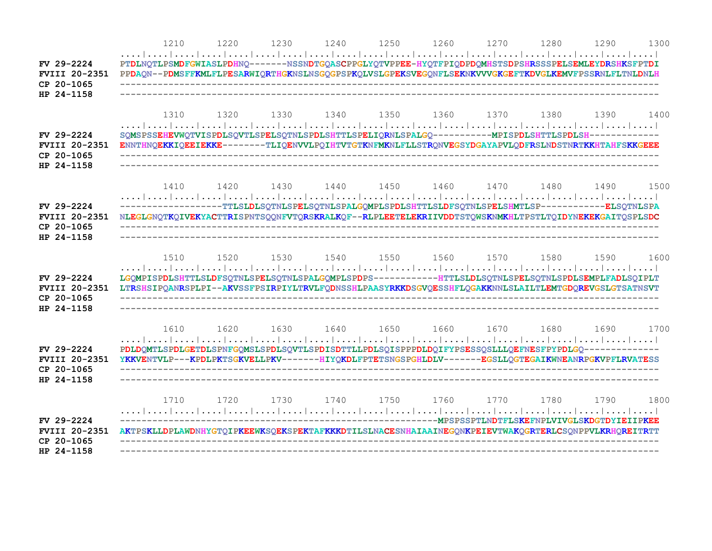|                                                                | 1210                                                                                                                                                                                                                  | 1220 | 1230 | 1240 | 1250 | 1260 | 1270                          | 1280 | 1290 | 1300 |
|----------------------------------------------------------------|-----------------------------------------------------------------------------------------------------------------------------------------------------------------------------------------------------------------------|------|------|------|------|------|-------------------------------|------|------|------|
| FV 29-2224<br><b>FVIII 20-2351</b><br>CP 20-1065<br>HP 24-1158 | PTDLNQTLPSMDFGWIASLPDHNQ-------NSSNDTGQASCPPGLYQTVPPEE-HYQTFPIQDPDQMHSTSDPSHRSSSPELSEMLEYDRSHKSFPTDI<br>PPDAQN--PDMSFFKMLFLPESARWIQRTHGKNSLNSGQGPSPKQLVSLGPEKSVEGQNFLSEKNKVVVGKGEFTKDVGLKEMVFPSSRNLFLTNLDNLH          |      |      |      |      |      |                               |      |      |      |
| FV 29-2224<br><b>FVIII 20-2351</b><br>CP 20-1065<br>HP 24-1158 | 1310<br>SQMSPSSEHEVWQTVISPDLSQVTLSPELSQTNLSPDLSHTTLSPELIQRNLSPALGQ-----------MPISPDLSHTTLSPDLSH------------<br>ENNTHNQEKKIQEEIEKKE-------TLIQENVVLPQIHTVTGTKNFMKNLFLLSTRQNVEGSYDGAYAPVLQDFRSLNDSTNRTKKHTAHFSKKGEEE    | 1320 | 1330 | 1340 |      |      | 1350 1360 1370 1380           |      | 1390 | 1400 |
| FV 29-2224<br><b>FVIII 20-2351</b><br>CP 20-1065<br>HP 24-1158 | 1410<br>------------------TTLSLDLSQTNLSPELSQTNLSPALGQMPLSPDLSHTTLSLDFSQTNLSPELSHMTLSP------------ELSQTNLSPA<br>NLEGLGNOTKOIVEKYACTTRISPNTSOONFVTORSKRALKOF--RLPLEETELEKRIIVDDTSTOWSKNMKHLTPSTLTOIDYNEKEKGAITOSPLSDC   | 1420 | 1430 | 1440 |      |      | 1450 1460 1470 1480           |      | 1490 | 1500 |
| FV 29-2224<br><b>FVIII 20-2351</b><br>CP 20-1065<br>HP 24-1158 | 1.510<br>LGOMPISPDLSHTTLSLDFSQTNLSPELSQTNLSPALGOMPLSPDPS------------HTTLSLDLSQTNLSPELSQTNLSPDLSEMPLFADLSQIPLT<br>LTRSHSIPQANRSPLPI--AKVSSFPSIRPIYLTRVLFQDNSSHLPAASYRKKDSGVQESSHFLQGAKKNNLSLAILTLEMTGDQREVGSLGTSATNSVT | 1520 | 1530 | 1540 | 1550 | 1560 | 1570                          | 1580 | 1590 | 1600 |
| FV 29-2224<br><b>FVIII 20-2351</b><br>CP 20-1065<br>HP 24-1158 | 1610<br>PDLDQMTLSPDLGETDLSPNFGQMSLSPDLSQVTLSPDISDTTLLPDLSQISPPPDLDQIFYPSESSQSLLLQEFNESFPYPDLGQ-------------<br>YKKVENTVLP---KPDLPKTSGKVELLPKV-------HIYQKDLFPTETSNGSPGHLDLV-------EGSLLQGTEGAIKWNEANRPGKVPFLRVATESS   | 1620 | 1630 | 1640 |      |      | 1650 1660 1670 1680           |      | 1690 | 1700 |
| FV 29-2224<br><b>FVIII 20-2351</b><br>CP 20-1065<br>HP 24-1158 | 1710<br>AKTPSKLLDPLAWDNHYGTQIPKEEWKSQEKSPEKTAFKKKDTILSLNACESNHAIAAINEGQNKPEIEVTWAKQGRTERLCSQNPPVLKRHQREITRTT                                                                                                          | 1720 |      |      |      |      | 1730 1740 1750 1760 1770 1780 |      | 1790 | 1800 |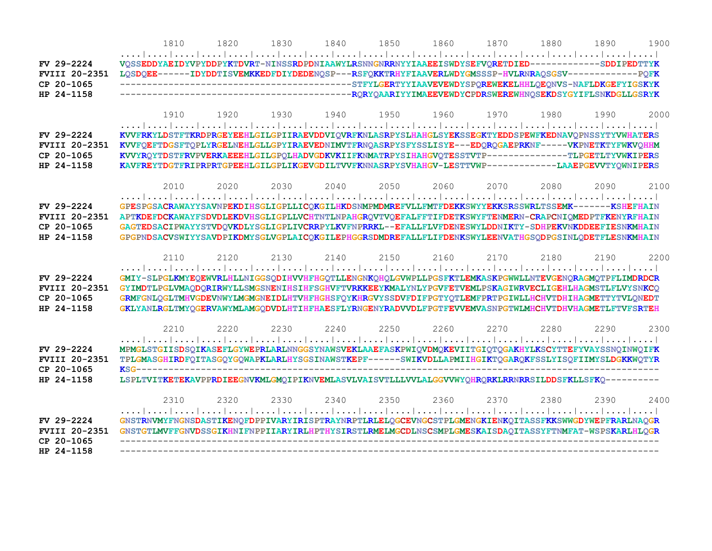|                      | 1810 | 1820 | 1830 | 1840 | 1850 | 1860           | 1870 | 1880 | 1890                                                                                                  | 1900 |
|----------------------|------|------|------|------|------|----------------|------|------|-------------------------------------------------------------------------------------------------------|------|
|                      |      |      |      |      |      |                |      |      |                                                                                                       |      |
| FV 29-2224           |      |      |      |      |      |                |      |      | VOSSEDDYAEIDYVPYDDPYKTDVRT-NINSSRDPDNIAAWYLRSNNGNRRNYYIAAEEISWDYSEFVORETDIED-----------SDDIPEDTTYK    |      |
| <b>FVIII 20-2351</b> |      |      |      |      |      |                |      |      | LQSDQEE------IDYDDTISVEMKKEDFDIYDEDENQSP---RSFQKKTRHYFIAAVERLWDYGMSSSP-HVLRNRAQSGSV------------PQFK   |      |
| CP 20-1065           |      |      |      |      |      |                |      |      |                                                                                                       |      |
| HP 24-1158           |      |      |      |      |      |                |      |      |                                                                                                       |      |
|                      |      |      |      |      |      |                |      |      |                                                                                                       |      |
|                      | 1910 | 1920 | 1930 | 1940 | 1950 | 1960           | 1970 | 1980 | 1990                                                                                                  | 2000 |
| FV 29-2224           |      |      |      |      |      |                |      |      | KVVFRKYLDSTFTKRDPRGEYEEHLGILGPIIRAEVDDVIQVRFKNLASRPYSLHAHGLSYEKSSEGKTYEDDSPEWFKEDNAVQPNSSYTYVWHATERS  |      |
| <b>FVIII 20-2351</b> |      |      |      |      |      |                |      |      | KVVFQEFTDGSFTQPLYRGELNEHLGLLGPYIRAEVEDNIMVTFRNQASRPYSFYSSLISYE---EDQRQGAEPRKNF-----VKPNETKTYFWKVQHHM  |      |
| CP 20-1065           |      |      |      |      |      |                |      |      | KVVYRQYTDSTFRVPVERKAEEEHLGILGPQLHADVGDKVKIIFKNMATRPYSIHAHGVQTESSTVTP-------------TLPGETLTYVWKIPERS    |      |
| HP 24-1158           |      |      |      |      |      |                |      |      | KAVFREYTDGTFRIPRPRTGPEEHLGILGPLIKGEVGDILTVVFKNNASRPYSVHAHGV-LESTTVWP------------LAAEPGEVVTYOWNIPERS   |      |
|                      |      |      |      |      |      |                |      |      |                                                                                                       |      |
|                      | 2010 | 2020 | 2030 | 2040 | 2050 | 2060           | 2070 | 2080 | 2090                                                                                                  | 2100 |
|                      |      |      |      |      |      |                |      |      |                                                                                                       |      |
| FV 29-2224           |      |      |      |      |      |                |      |      | GPESPGSACRAWAYYSAVNPEKDIHSGLIGPLLICQKGILHKDSNMPMDMREFVLLFMTFDEKKSWYYEKKSRSSWRLTSSEMK--------KSHEFHAIN |      |
| <b>FVIII 20-2351</b> |      |      |      |      |      |                |      |      | APTKDEFDCKAWAYFSDVDLEKDVHSGLIGPLLVCHTNTLNPAHGROVTVOEFALFFTIFDETKSWYFTENMERN-CRAPCNIOMEDPTFKENYRFHAIN  |      |
| CP 20-1065           |      |      |      |      |      |                |      |      | GAGTEDSACIPWAYYSTVDQVKDLYSGLIGPLIVCRRPYLKVFNPRRKL--EFALLFLVFDENESWYLDDNIKTY-SDHPEKVNKDDEEFIESNKMHAIN  |      |
| HP 24-1158           |      |      |      |      |      |                |      |      | GPGPNDSACVSWIYYSAVDPIKDMYSGLVGPLAICQKGILEPHGGRSDMDREFALLFLIFDENKSWYLEENVATHGSQDPGSINLQDETFLESNKMHAIN  |      |
|                      |      |      |      |      |      |                |      |      |                                                                                                       |      |
|                      | 2110 | 2120 | 2130 | 2140 | 2150 | 2160           | 2170 | 2180 | 2190                                                                                                  | 2200 |
| FV 29-2224           |      |      |      |      |      |                |      |      | GMIY-SLPGLKMYEQEWVRLHLLNIGGSQDIHVVHFHGQTLLENGNKQHQLGVWPLLPGSFKTLEMKASKPGWWLLNTEVGENQRAGMQTPFLIMDRDCR  |      |
| <b>FVIII 20-2351</b> |      |      |      |      |      |                |      |      | GYIMDTLPGLVMAQDQRIRWYLLSMGSNENIHSIHFSGHVFTVRKKEEYKMALYNLYPGVFETVEMLPSKAGIWRVECLIGEHLHAGMSTLFLVYSNKCQ  |      |
| CP 20-1065           |      |      |      |      |      |                |      |      | GRMFGNLQGLTMHVGDEVNWYLMGMGNEIDLHTVHFHGHSFQYKHRGVYSSDVFDIFPGTYQTLEMFPRTPGIWLLHCHVTDHIHAGMETTYTVLQNEDT  |      |
| HP 24-1158           |      |      |      |      |      |                |      |      | GKLYANLRGLTMYOGERVAWYMLAMGODVDLHTIHFHAESFLYRNGENYRADVVDLFPGTFEVVEMVASNPGTWLMHCHVTDHVHAGMETLFTVFSRTEH  |      |
|                      |      |      |      |      |      |                |      |      |                                                                                                       |      |
|                      | 2210 | 2220 | 2230 | 2240 | 2250 | 2260           | 2270 | 2280 | 2290                                                                                                  | 2300 |
|                      |      |      |      |      |      |                |      |      |                                                                                                       |      |
| FV 29-2224           |      |      |      |      |      |                |      |      | MPMGLSTGIISDSQIKASEFLGYWEPRLARLNNGGSYNAWSVEKLAAEFASKPWIQVDMQKEVIITGIQTQGAKHYLKSCYTTEFYVAYSSNQINWQIFK  |      |
| <b>FVIII 20-2351</b> |      |      |      |      |      |                |      |      | TPLGMASGHIRDFQITASGQYGQWAPKLARLHYSGSINAWSTKEPF------SWIKVDLLAPMIIHGIKTQGARQKFSSLYISQFIIMYSLDGKKWQTYR  |      |
| CP 20-1065           |      |      |      |      |      |                |      |      |                                                                                                       |      |
| HP 24-1158           |      |      |      |      |      |                |      |      | LSPLTVITKETEKAVPPRDIEEGNVKMLGMOIPIKNVEMLASVLVAISVTLLLVVLALGGVVWYQHRORKLRRNRRSILDDSFKLLSFKQ----------  |      |
|                      | 2310 | 2320 | 2330 | 2340 |      | 2350 2360 2370 |      | 2380 | 2390                                                                                                  | 2400 |
|                      |      |      |      |      |      |                |      |      |                                                                                                       |      |
| FV 29-2224           |      |      |      |      |      |                |      |      | GNSTRNVMYFNGNSDASTIKENQFDPPIVARYIRISPTRAYNRPTLRLELQGCEVNGCSTPLGMENGKIENKQITASSFKKSWWGDYWEPFRARLNAQGR  |      |
| <b>FVIII 20-2351</b> |      |      |      |      |      |                |      |      | GNSTGTLMVFFGNVDSSGIKHNIFNPPIIARYIRLHPTHYSIRSTLRMELMGCDLNSCSMPLGMESKAISDAQITASSYFTNMFAT-WSPSKARLHLQGR  |      |
| CP 20-1065           |      |      |      |      |      |                |      |      |                                                                                                       |      |
| HP 24-1158           |      |      |      |      |      |                |      |      |                                                                                                       |      |